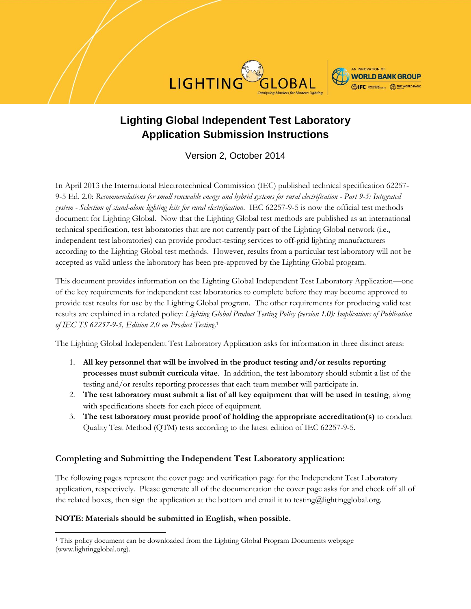



# **Lighting Global Independent Test Laboratory Application Submission Instructions**

Version 2, October 2014

In April 2013 the International Electrotechnical Commission (IEC) published technical specification 62257- 9-5 Ed. 2.0: *Recommendations for small renewable energy and hybrid systems for rural electrification - Part 9-5: Integrated system - Selection of stand-alone lighting kits for rural electrification*. IEC 62257-9-5 is now the official test methods document for Lighting Global. Now that the Lighting Global test methods are published as an international technical specification, test laboratories that are not currently part of the Lighting Global network (i.e., independent test laboratories) can provide product-testing services to off-grid lighting manufacturers according to the Lighting Global test methods. However, results from a particular test laboratory will not be accepted as valid unless the laboratory has been pre-approved by the Lighting Global program.

This document provides information on the Lighting Global Independent Test Laboratory Application—one of the key requirements for independent test laboratories to complete before they may become approved to provide test results for use by the Lighting Global program. The other requirements for producing valid test results are explained in a related policy: *Lighting Global Product Testing Policy (version 1.0): Implications of Publication of IEC TS 62257-9-5, Edition 2.0 on Product Testing*. 1

The Lighting Global Independent Test Laboratory Application asks for information in three distinct areas:

- 1. **All key personnel that will be involved in the product testing and/or results reporting processes must submit curricula vitae**. In addition, the test laboratory should submit a list of the testing and/or results reporting processes that each team member will participate in.
- 2. **The test laboratory must submit a list of all key equipment that will be used in testing**, along with specifications sheets for each piece of equipment.
- 3. **The test laboratory must provide proof of holding the appropriate accreditation(s)** to conduct Quality Test Method (QTM) tests according to the latest edition of IEC 62257-9-5.

#### **Completing and Submitting the Independent Test Laboratory application:**

The following pages represent the cover page and verification page for the Independent Test Laboratory application, respectively. Please generate all of the documentation the cover page asks for and check off all of the related boxes, then sign the application at the bottom and email it to testing@lightingglobal.org.

#### **NOTE: Materials should be submitted in English, when possible.**

 $\overline{\phantom{a}}$ 

<sup>1</sup> This policy document can be downloaded from the Lighting Global Program Documents webpage (www.lightingglobal.org).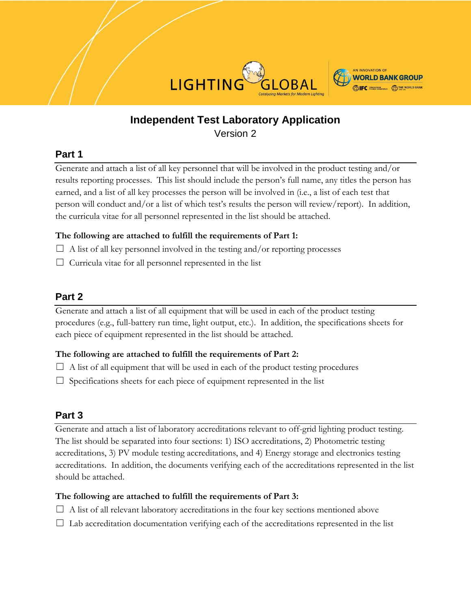



# **Independent Test Laboratory Application** Version 2

### **Part 1**

Generate and attach a list of all key personnel that will be involved in the product testing and/or results reporting processes. This list should include the person's full name, any titles the person has earned, and a list of all key processes the person will be involved in (i.e., a list of each test that person will conduct and/or a list of which test's results the person will review/report). In addition, the curricula vitae for all personnel represented in the list should be attached.

#### **The following are attached to fulfill the requirements of Part 1:**

- $\Box$  A list of all key personnel involved in the testing and/or reporting processes
- $\Box$  Curricula vitae for all personnel represented in the list

## **Part 2**

Generate and attach a list of all equipment that will be used in each of the product testing procedures (e.g., full-battery run time, light output, etc.). In addition, the specifications sheets for each piece of equipment represented in the list should be attached.

### **The following are attached to fulfill the requirements of Part 2:**

- $\Box$  A list of all equipment that will be used in each of the product testing procedures
- $\Box$  Specifications sheets for each piece of equipment represented in the list

### **Part 3**

Generate and attach a list of laboratory accreditations relevant to off-grid lighting product testing. The list should be separated into four sections: 1) ISO accreditations, 2) Photometric testing accreditations, 3) PV module testing accreditations, and 4) Energy storage and electronics testing accreditations. In addition, the documents verifying each of the accreditations represented in the list should be attached.

### **The following are attached to fulfill the requirements of Part 3:**

- $\Box$  A list of all relevant laboratory accreditations in the four key sections mentioned above
- $\Box$  Lab accreditation documentation verifying each of the accreditations represented in the list